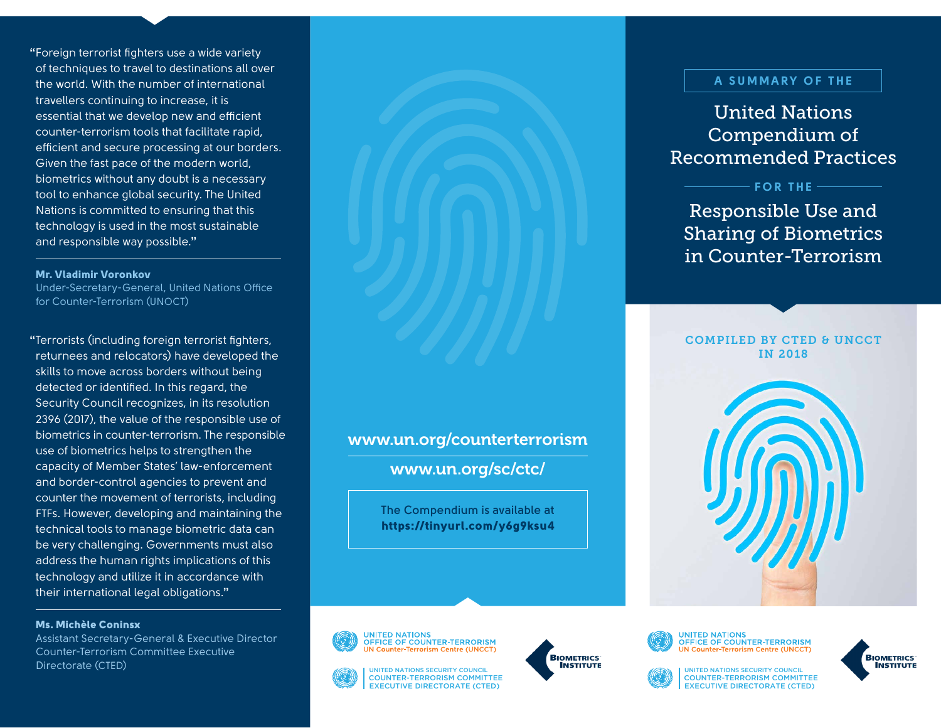**"**Foreign terrorist fighters use a wide variety of techniques to travel to destinations all over the world. With the number of international travellers continuing to increase, it is essential that we develop new and efficient counter-terrorism tools that facilitate rapid, efficient and secure processing at our borders. Given the fast pace of the modern world, biometrics without any doubt is a necessary tool to enhance global security. The United Nations is committed to ensuring that this technology is used in the most sustainable and responsible way possible.**"**

#### Mr. Vladimir Voronkov

Under-Secretary-General, United Nations Office for Counter-Terrorism (UNOCT)

**"**Terrorists (including foreign terrorist fighters, returnees and relocators) have developed the skills to move across borders without being detected or identified. In this regard, the Security Council recognizes, in its resolution 2396 (2017), the value of the responsible use of biometrics in counter-terrorism. The responsible use of biometrics helps to strengthen the capacity of Member States' law-enforcement and border-control agencies to prevent and counter the movement of terrorists, including FTFs. However, developing and maintaining the technical tools to manage biometric data can be very challenging. Governments must also address the human rights implications of this technology and utilize it in accordance with their international legal obligations.**"**

### Ms. Michèle Coninsx

Assistant Secretary-General & Executive Director Counter-Terrorism Committee Executive **Directorate (CTED) Example 2008 CONCIL** AND THE CONTROL COUNCIL **EXAMPLE AND THE COUNCIL** COUNCIL COUNCIL AND THE COUNCIL COUNCIL

### www.un.org/counterterrorism

www.un.org/sc/ctc/

**The Compendium is available at** https://tinyurl.com/y6g9ksu4







### A SUMMARY OF THE

United Nations Compendium of Recommended Practices

FOR THE

# Responsible Use and Sharing of Biometrics in Counter-Terrorism

COMPILED BY CTED & UNCCT IN 2018





**UNITED NATIONS** OFFICE OF COUNTER-TERRORISM **UN Counter-Terrorism Centre (UNCCT)** 



COUNTER-TERRORISM COMMITTEE EXECUTIVE DIRECTORATE (CTED)